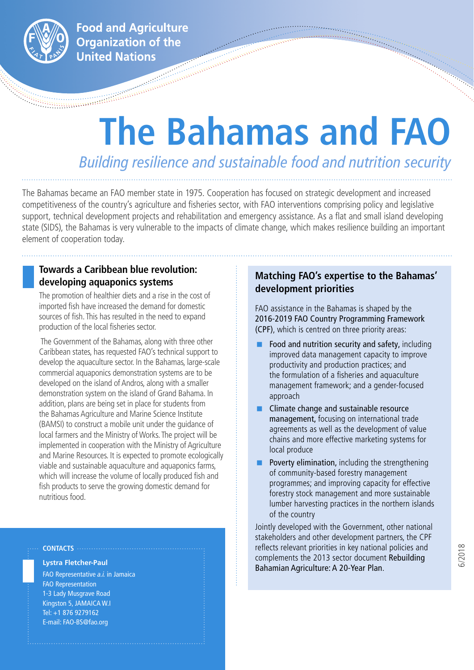

**Food and Agriculture Organization of the United Nations** an Sarahan<br>Sarahan Sarahan

# **The Bahamas and FAO**

*Building resilience and sustainable food and nutrition security*

The Bahamas became an FAO member state in 1975. Cooperation has focused on strategic development and increased competitiveness of the country's agriculture and fisheries sector, with FAO interventions comprising policy and legislative support, technical development projects and rehabilitation and emergency assistance. As a flat and small island developing state (SIDS), the Bahamas is very vulnerable to the impacts of climate change, which makes resilience building an important element of cooperation today.

### **Towards a Caribbean blue revolution: developing aquaponics systems**

The promotion of healthier diets and a rise in the cost of imported fish have increased the demand for domestic sources of fish. This has resulted in the need to expand production of the local fisheries sector.

 The Government of the Bahamas, along with three other Caribbean states, has requested FAO's technical support to develop the aquaculture sector. In the Bahamas, large-scale commercial aquaponics demonstration systems are to be developed on the island of Andros, along with a smaller demonstration system on the island of Grand Bahama. In addition, plans are being set in place for students from the Bahamas Agriculture and Marine Science Institute (BAMSI) to construct a mobile unit under the guidance of local farmers and the Ministry of Works. The project will be implemented in cooperation with the Ministry of Agriculture and Marine Resources. It is expected to promote ecologically viable and sustainable aquaculture and aquaponics farms, which will increase the volume of locally produced fish and fish products to serve the growing domestic demand for nutritious food.

#### **CONTACTS**

#### **Lystra Fletcher-Paul**

FAO Representative *a.i.* in Jamaica FAO Representation 1-3 Lady Musgrave Road Kingston 5, JAMAICA W.I Tel: +1 876 9279162 E-mail: FAO-BS@fao.org

# **Matching FAO's expertise to the Bahamas' development priorities**

FAO assistance in the Bahamas is shaped by the 2016-2019 FAO Country Programming Framework (CPF), which is centred on three priority areas:

- Food and nutrition security and safety, including improved data management capacity to improve productivity and production practices; and the formulation of a fisheries and aquaculture management framework; and a gender-focused approach
- Climate change and sustainable resource management, focusing on international trade agreements as well as the development of value chains and more effective marketing systems for local produce
- Poverty elimination, including the strengthening of community-based forestry management programmes; and improving capacity for effective forestry stock management and more sustainable lumber harvesting practices in the northern islands of the country

Jointly developed with the Government, other national stakeholders and other development partners, the CPF reflects relevant priorities in key national policies and complements the 2013 sector document Rebuilding Bahamian Agriculture: A 20-Year Plan.